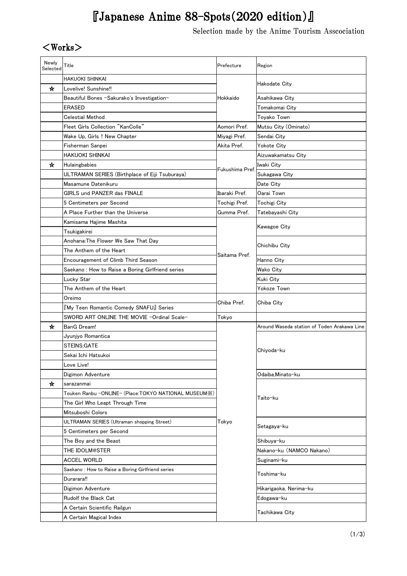| Newly<br>Selected | Title                                                | Prefecture      | Region                                      |  |
|-------------------|------------------------------------------------------|-----------------|---------------------------------------------|--|
|                   | <b>HAKUOKI SHINKAI</b>                               | Hokkaido        |                                             |  |
| ☆                 | Lovelive! Sunshine!!                                 |                 | Hakodate City                               |  |
|                   | Beautiful Bones - Sakurako's Investigation-          |                 | Asahikawa City                              |  |
|                   | <b>ERASED</b>                                        |                 | Tomakomai City                              |  |
|                   | <b>Celestial Method</b>                              |                 | Toyako Town                                 |  |
|                   | Fleet Girls Collection "KanColle"                    | Aomori Pref.    | Mutsu City (Ominato)                        |  |
|                   | Wake Up, Girls ! New Chapter                         | Miyagi Pref.    | Sendai City                                 |  |
|                   | Fisherman Sanpei                                     | Akita Pref.     | Yokote City                                 |  |
|                   | <b>HAKUOKI SHINKAI</b>                               |                 | Aizuwakamatsu City                          |  |
| ☆                 | Hulaingbabies                                        | Fukushima Pref. | Iwaki City                                  |  |
|                   | ULTRAMAN SERIES (Birthplace of Eiji Tsuburaya)       |                 | Sukagawa City                               |  |
|                   | Masamune Datenikuru                                  |                 | Date City                                   |  |
|                   | GIRLS und PANZER das FINALE                          | Ibaraki Pref.   | Oarai Town                                  |  |
|                   | 5 Centimeters per Second                             | Tochigi Pref.   | Tochigi City                                |  |
|                   | A Place Further than the Universe                    | Gumma Pref.     | Tatebayashi City                            |  |
|                   | Kamisama Hajime Mashita                              |                 |                                             |  |
|                   | Tsukigakirei                                         |                 | <b>Kawagoe City</b>                         |  |
|                   | Anohana: The Flower We Saw That Day                  |                 |                                             |  |
|                   | The Anthem of the Heart                              |                 | Chichibu City                               |  |
|                   | Encouragement of Climb Third Season                  | Saitama Pref.   | Hanno City                                  |  |
|                   | Saekano: How to Raise a Boring Girlfriend series     |                 | <b>Wako City</b>                            |  |
|                   | Lucky Star                                           |                 | Kuki City                                   |  |
|                   | The Anthem of the Heart                              |                 | <b>Yokoze Town</b>                          |  |
|                   | Oreimo                                               | Chiba Pref.     |                                             |  |
|                   | My Teen Romantic Comedy SNAFUJ Series                |                 | Chiba City                                  |  |
|                   | SWORD ART ONLINE THE MOVIE -Ordinal Scale-           | Tokyo           |                                             |  |
| ☆                 | <b>BanG Dream!</b>                                   |                 | Around Waseda station of Toden Arakawa Line |  |
|                   | Jyunjyo Romantica                                    |                 |                                             |  |
|                   | <b>STEINS;GATE</b>                                   |                 |                                             |  |
|                   | Sekai Ichi Hatsukoi                                  |                 | Chiyoda-ku                                  |  |
|                   | Love Live!                                           |                 |                                             |  |
|                   | Digimon Adventure                                    |                 | Odaiba, Minato-ku                           |  |
| ☆                 | sarazanmai                                           |                 | Taito-ku                                    |  |
|                   | Touken Ranbu -ONLINE- (Place:TOKYO NATIONAL MUSEUM※) |                 |                                             |  |
|                   | The Girl Who Leapt Through Time                      |                 |                                             |  |
|                   | Mitsuboshi Colors                                    |                 |                                             |  |
|                   | ULTRAMAN SERIES (Ultraman shopping Street)           | Tokyo           |                                             |  |
|                   | 5 Centimeters per Second                             |                 | Setagaya-ku                                 |  |
|                   | The Boy and the Beast                                |                 | Shibuya-ku                                  |  |
|                   | THE IDOLM@STER                                       |                 | Nakano-ku (NAMCO Nakano)                    |  |
|                   | <b>ACCEL WORLD</b>                                   |                 | Suginami-ku                                 |  |
|                   | Saekano: How to Raise a Boring Girlfriend series     |                 | Toshima-ku                                  |  |
|                   | Durarara!!                                           |                 |                                             |  |
|                   | Digimon Adventure                                    |                 | Hikarigaoka, Nerima-ku                      |  |
|                   | Rudolf the Black Cat                                 |                 | Edogawa-ku                                  |  |
|                   | A Certain Scientific Railgun                         |                 | Tachikawa City                              |  |
|                   | A Certain Magical Index                              |                 |                                             |  |

| Shibuya-ku               |  |  |
|--------------------------|--|--|
| Nakano-ku (NAMCO Nakano) |  |  |
| Suginami-ku              |  |  |
| Toshima-ku               |  |  |
| Hikarigaoka, Nerima-ku   |  |  |
| Edogawa-ku               |  |  |
| Tachikawa City           |  |  |

Selection made by the Anime Tourism Asscociation

### $<$ Works $>$

### 『Japanese Anime 88-Spots(2020 edition)』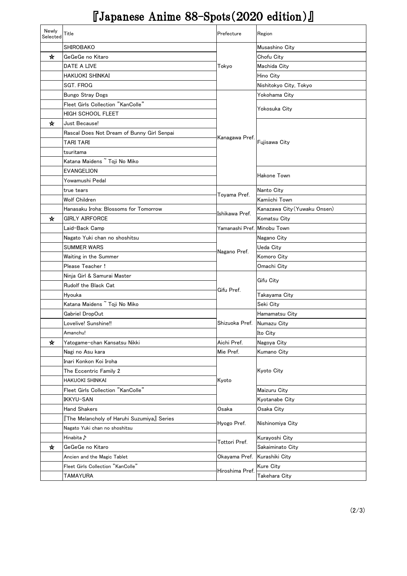# 『Japanese Anime 88-Spots(2020 edition)』

| Newly<br>Selected | Title                                      | Prefecture                   | Region                       |
|-------------------|--------------------------------------------|------------------------------|------------------------------|
|                   | <b>SHIROBAKO</b>                           |                              | Musashino City               |
| ☆                 | GeGeGe no Kitaro                           |                              | Chofu City                   |
|                   | DATE A LIVE                                | Tokyo                        | Machida City                 |
|                   | <b>HAKUOKI SHINKAI</b>                     |                              | Hino City                    |
|                   | <b>SGT. FROG</b>                           |                              | Nishitokyo City, Tokyo       |
|                   | <b>Bungo Stray Dogs</b>                    |                              | Yokohama City                |
|                   | Fleet Girls Collection "KanColle"          |                              | Yokosuka City                |
|                   | <b>HIGH SCHOOL FLEET</b>                   |                              |                              |
| ☆                 | Just Because!                              |                              |                              |
|                   | Rascal Does Not Dream of Bunny Girl Senpai | Kanagawa Pref.               |                              |
|                   | <b>TARI TARI</b>                           |                              | Fujisawa City                |
|                   | tsuritama                                  |                              |                              |
|                   | Katana Maidens <sup>~</sup> Toji No Miko   |                              |                              |
|                   | <b>EVANGELION</b>                          |                              | <b>Hakone Town</b>           |
|                   | Yowamushi Pedal                            |                              |                              |
|                   | true tears                                 | Toyama Pref.                 | Nanto City                   |
|                   | <b>Wolf Children</b>                       |                              | Kamiichi Town                |
|                   | Hanasaku Iroha: Blossoms for Tomorrow      | Ishikawa Pref.               | Kanazawa City (Yuwaku Onsen) |
| ☆                 | <b>GIRLY AIRFORCE</b>                      |                              | Komatsu City                 |
|                   | Laid-Back Camp                             | Yamanashi Pref. Minobu Town  |                              |
|                   | Nagato Yuki chan no shoshitsu              |                              | Nagano City                  |
|                   | <b>SUMMER WARS</b>                         | Nagano Pref.                 | <b>Ueda City</b>             |
|                   | Waiting in the Summer                      |                              | Komoro City                  |
|                   | Please Teacher !                           |                              | Omachi City                  |
|                   | Ninja Girl & Samurai Master                |                              | Gifu City                    |
|                   | Rudolf the Black Cat                       | Gifu Pref.                   |                              |
|                   | Hyouka                                     |                              | Takayama City                |
|                   | Katana Maidens <sup>~</sup> Toji No Miko   |                              | Seki City                    |
|                   | Gabriel DropOut                            |                              | Hamamatsu City               |
|                   | Lovelive! Sunshine!!                       | Shizuoka Pref. Numazu City   |                              |
|                   | Amanchu!                                   |                              | Ito City                     |
| ☆                 | Yatogame-chan Kansatsu Nikki               | Aichi Pref.                  | Nagoya City                  |
|                   | Nagi no Asu kara                           | Mie Pref.                    | Kumano City                  |
|                   | Inari Konkon Koi Iroha                     |                              |                              |
|                   | The Eccentric Family 2                     |                              | Kyoto City                   |
|                   | <b>HAKUOKI SHINKAI</b>                     | Kyoto                        |                              |
|                   | Fleet Girls Collection "KanColle"          |                              | Maizuru City                 |
|                   | <b>IKKYU-SAN</b>                           |                              | Kyotanabe City               |
|                   | <b>Hand Shakers</b>                        | Osaka                        | Osaka City                   |
|                   | 『The Melancholy of Haruhi Suzumiya』 Series | Hyogo Pref.                  | Nishinomiya City             |
|                   | Nagato Yuki chan no shoshitsu              |                              |                              |
|                   | Hinabita $\triangleright$                  | Tottori Pref.                | Kurayoshi City               |
| ☆                 | GeGeGe no Kitaro                           |                              | Sakaiminato City             |
|                   | Ancien and the Magic Tablet                | Okayama Pref. Kurashiki City |                              |
|                   | Fleet Girls Collection "KanColle"          | Hiroshima Pref.              | Kure City                    |
|                   | <b>TAMAYURA</b>                            |                              | Takehara City                |

 $(2/3)$